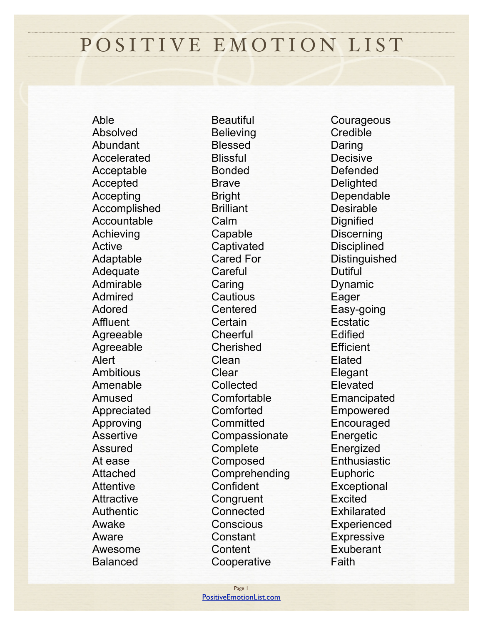## POSITIVE EMOTION LIST

Able Absolved Abundant Accelerated Acceptable Accepted Accepting Accomplished Accountable Achieving Active Adaptable Adequate Admirable Admired Adored **Affluent** Agreeable Agreeable Alert Ambitious Amenable Amused Appreciated Approving Assertive Assured At ease Attached **Attentive Attractive** Authentic Awake Aware Awesome Balanced

**Beautiful Believing** Blessed **Blissful** Bonded Brave Bright **Brilliant** Calm Capable **Captivated** Cared For **Careful** Caring **Cautious** Centered **Certain Cheerful** Cherished Clean **Clear** Collected Comfortable Comforted **Committed Compassionate Complete** Composed Comprehending Confident **Congruent** Connected **Conscious** Constant **Content Cooperative** 

**Courageous Credible** Daring Decisive Defended **Delighted** Dependable Desirable **Dignified Discerning Disciplined Distinguished** Dutiful Dynamic Eager Easy-going Ecstatic Edified **Efficient** Elated **Elegant** Elevated Emancipated Empowered Encouraged Energetic Energized **Enthusiastic Euphoric Exceptional** Excited **Exhilarated Experienced Expressive** Exuberant **Faith**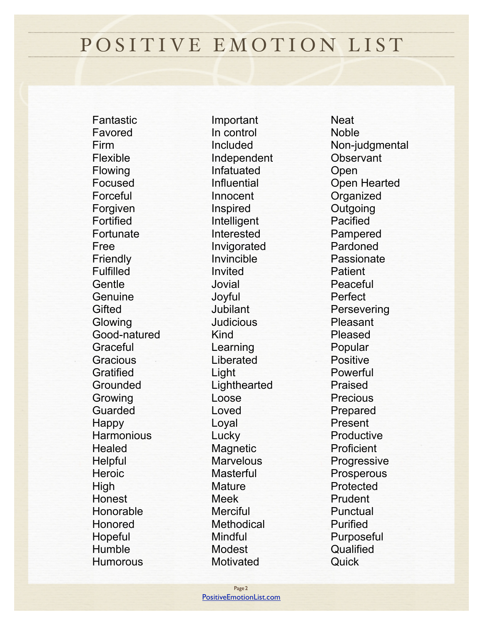## POSITIVE EMOTION LIST

Fantastic Favored Firm Flexible Flowing Focused Forceful Forgiven Fortified **Fortunate** Free **Friendly** Fulfilled **Gentle Genuine Gifted Glowing** Good-natured **Graceful Gracious Gratified** Grounded Growing Guarded Happy **Harmonious Healed Helpful Heroic** High Honest Honorable Honored **Hopeful Humble Humorous** 

Important In control Included Independent Infatuated Influential Innocent Inspired Intelligent Interested Invigorated Invincible Invited Jovial Joyful Jubilant Judicious Kind Learning Liberated Light Lighthearted Loose Loved Loyal Lucky **Magnetic Marvelous Masterful Mature** Meek **Merciful Methodical** Mindful Modest Motivated

**Neat** Noble Non-judgmental **Observant** Open Open Hearted **Organized Outgoing** Pacified Pampered Pardoned Passionate **Patient** Peaceful Perfect **Persevering** Pleasant Pleased Popular Positive Powerful Praised **Precious** Prepared Present Productive Proficient **Progressive Prosperous** Protected Prudent **Punctual** Purified Purposeful **Qualified Quick**